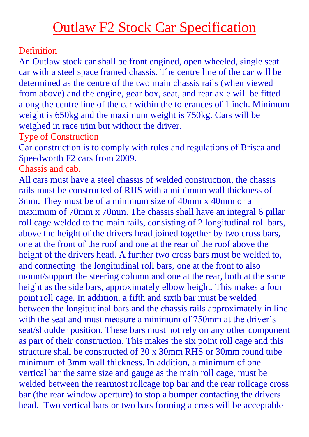## Outlaw F2 Stock Car Specification

## Definition

An Outlaw stock car shall be front engined, open wheeled, single seat car with a steel space framed chassis. The centre line of the car will be determined as the centre of the two main chassis rails (when viewed from above) and the engine, gear box, seat, and rear axle will be fitted along the centre line of the car within the tolerances of 1 inch. Minimum weight is 650kg and the maximum weight is 750kg. Cars will be weighed in race trim but without the driver.

Type of Construction

Car construction is to comply with rules and regulations of Brisca and Speedworth F2 cars from 2009.

Chassis and cab.

All cars must have a steel chassis of welded construction, the chassis rails must be constructed of RHS with a minimum wall thickness of 3mm. They must be of a minimum size of 40mm x 40mm or a maximum of 70mm x 70mm. The chassis shall have an integral 6 pillar roll cage welded to the main rails, consisting of 2 longitudinal roll bars, above the height of the drivers head joined together by two cross bars, one at the front of the roof and one at the rear of the roof above the height of the drivers head. A further two cross bars must be welded to, and connecting the longitudinal roll bars, one at the front to also mount/support the steering column and one at the rear, both at the same height as the side bars, approximately elbow height. This makes a four point roll cage. In addition, a fifth and sixth bar must be welded between the longitudinal bars and the chassis rails approximately in line with the seat and must measure a minimum of 750mm at the driver's seat/shoulder position. These bars must not rely on any other component as part of their construction. This makes the six point roll cage and this structure shall be constructed of 30 x 30mm RHS or 30mm round tube minimum of 3mm wall thickness. In addition, a minimum of one vertical bar the same size and gauge as the main roll cage, must be welded between the rearmost rollcage top bar and the rear rollcage cross bar (the rear window aperture) to stop a bumper contacting the drivers head. Two vertical bars or two bars forming a cross will be acceptable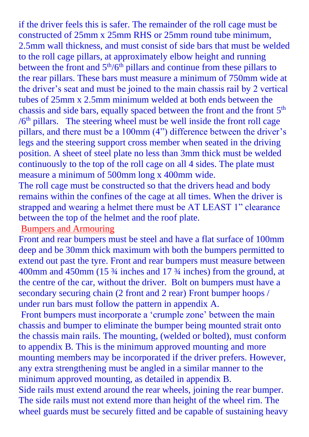if the driver feels this is safer. The remainder of the roll cage must be constructed of 25mm x 25mm RHS or 25mm round tube minimum, 2.5mm wall thickness, and must consist of side bars that must be welded to the roll cage pillars, at approximately elbow height and running between the front and  $5<sup>th</sup>/6<sup>th</sup>$  pillars and continue from these pillars to the rear pillars. These bars must measure a minimum of 750mm wide at the driver's seat and must be joined to the main chassis rail by 2 vertical tubes of 25mm x 2.5mm minimum welded at both ends between the chassis and side bars, equally spaced between the front and the front 5<sup>th</sup> /6<sup>th</sup> pillars. The steering wheel must be well inside the front roll cage pillars, and there must be a 100mm (4") difference between the driver's legs and the steering support cross member when seated in the driving position. A sheet of steel plate no less than 3mm thick must be welded continuously to the top of the roll cage on all 4 sides. The plate must measure a minimum of 500mm long x 400mm wide.

The roll cage must be constructed so that the drivers head and body remains within the confines of the cage at all times. When the driver is strapped and wearing a helmet there must be AT LEAST 1" clearance between the top of the helmet and the roof plate.

#### Bumpers and Armouring

Front and rear bumpers must be steel and have a flat surface of 100mm deep and be 30mm thick maximum with both the bumpers permitted to extend out past the tyre. Front and rear bumpers must measure between 400mm and 450mm (15 ¾ inches and 17 ¾ inches) from the ground, at the centre of the car, without the driver. Bolt on bumpers must have a secondary securing chain (2 front and 2 rear) Front bumper hoops / under run bars must follow the pattern in appendix A.

Front bumpers must incorporate a 'crumple zone' between the main chassis and bumper to eliminate the bumper being mounted strait onto the chassis main rails. The mounting, (welded or bolted), must conform to appendix B. This is the minimum approved mounting and more mounting members may be incorporated if the driver prefers. However, any extra strengthening must be angled in a similar manner to the minimum approved mounting, as detailed in appendix B.

Side rails must extend around the rear wheels, joining the rear bumper. The side rails must not extend more than height of the wheel rim. The wheel guards must be securely fitted and be capable of sustaining heavy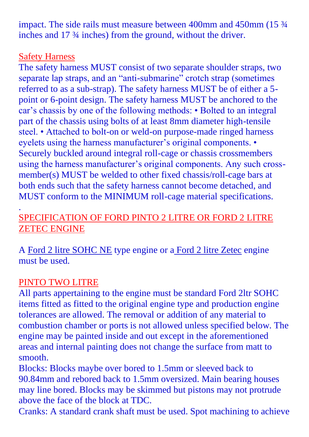impact. The side rails must measure between 400mm and 450mm (15  $\frac{3}{4}$ ) inches and 17 ¾ inches) from the ground, without the driver.

#### Safety Harness

The safety harness MUST consist of two separate shoulder straps, two separate lap straps, and an "anti-submarine" crotch strap (sometimes referred to as a sub-strap). The safety harness MUST be of either a 5 point or 6-point design. The safety harness MUST be anchored to the car's chassis by one of the following methods: • Bolted to an integral part of the chassis using bolts of at least 8mm diameter high-tensile steel. • Attached to bolt-on or weld-on purpose-made ringed harness eyelets using the harness manufacturer's original components. • Securely buckled around integral roll-cage or chassis crossmembers using the harness manufacturer's original components. Any such crossmember(s) MUST be welded to other fixed chassis/roll-cage bars at both ends such that the safety harness cannot become detached, and MUST conform to the MINIMUM roll-cage material specifications.

### . SPECIFICATION OF FORD PINTO 2 LITRE OR FORD 2 LITRE ZETEC ENGINE

A Ford 2 litre SOHC NE type engine or a Ford 2 litre Zetec engine must be used.

## PINTO TWO LITRE

All parts appertaining to the engine must be standard Ford 2ltr SOHC items fitted as fitted to the original engine type and production engine tolerances are allowed. The removal or addition of any material to combustion chamber or ports is not allowed unless specified below. The engine may be painted inside and out except in the aforementioned areas and internal painting does not change the surface from matt to smooth.

Blocks: Blocks maybe over bored to 1.5mm or sleeved back to 90.84mm and rebored back to 1.5mm oversized. Main bearing houses may line bored. Blocks may be skimmed but pistons may not protrude above the face of the block at TDC.

Cranks: A standard crank shaft must be used. Spot machining to achieve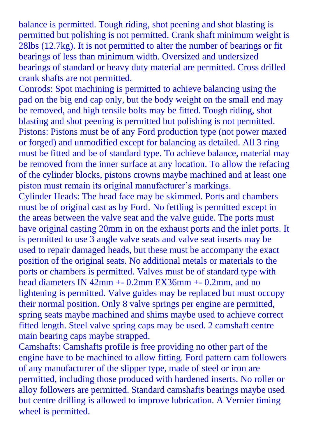balance is permitted. Tough riding, shot peening and shot blasting is permitted but polishing is not permitted. Crank shaft minimum weight is 28lbs (12.7kg). It is not permitted to alter the number of bearings or fit bearings of less than minimum width. Oversized and undersized bearings of standard or heavy duty material are permitted. Cross drilled crank shafts are not permitted.

Conrods: Spot machining is permitted to achieve balancing using the pad on the big end cap only, but the body weight on the small end may be removed, and high tensile bolts may be fitted. Tough riding, shot blasting and shot peening is permitted but polishing is not permitted. Pistons: Pistons must be of any Ford production type (not power maxed or forged) and unmodified except for balancing as detailed. All 3 ring must be fitted and be of standard type. To achieve balance, material may be removed from the inner surface at any location. To allow the refacing of the cylinder blocks, pistons crowns maybe machined and at least one piston must remain its original manufacturer's markings.

Cylinder Heads: The head face may be skimmed. Ports and chambers must be of original cast as by Ford. No fettling is permitted except in the areas between the valve seat and the valve guide. The ports must have original casting 20mm in on the exhaust ports and the inlet ports. It is permitted to use 3 angle valve seats and valve seat inserts may be used to repair damaged heads, but these must be accompany the exact position of the original seats. No additional metals or materials to the ports or chambers is permitted. Valves must be of standard type with head diameters IN 42mm +- 0.2mm EX36mm +- 0.2mm, and no lightening is permitted. Valve guides may be replaced but must occupy their normal position. Only 8 valve springs per engine are permitted, spring seats maybe machined and shims maybe used to achieve correct fitted length. Steel valve spring caps may be used. 2 camshaft centre main bearing caps maybe strapped.

Camshafts: Camshafts profile is free providing no other part of the engine have to be machined to allow fitting. Ford pattern cam followers of any manufacturer of the slipper type, made of steel or iron are permitted, including those produced with hardened inserts. No roller or alloy followers are permitted. Standard camshafts bearings maybe used but centre drilling is allowed to improve lubrication. A Vernier timing wheel is permitted.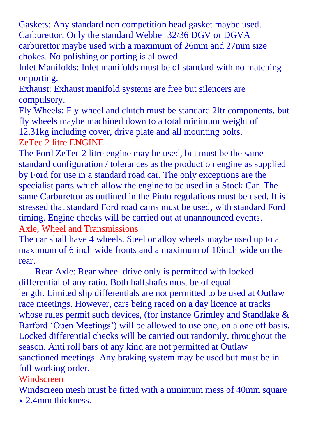Gaskets: Any standard non competition head gasket maybe used. Carburettor: Only the standard Webber 32/36 DGV or DGVA carburettor maybe used with a maximum of 26mm and 27mm size chokes. No polishing or porting is allowed.

Inlet Manifolds: Inlet manifolds must be of standard with no matching or porting.

Exhaust: Exhaust manifold systems are free but silencers are compulsory.

Fly Wheels: Fly wheel and clutch must be standard 2ltr components, but fly wheels maybe machined down to a total minimum weight of 12.31kg including cover, drive plate and all mounting bolts.

ZeTec 2 litre ENGINE

The Ford ZeTec 2 litre engine may be used, but must be the same standard configuration / tolerances as the production engine as supplied by Ford for use in a standard road car. The only exceptions are the specialist parts which allow the engine to be used in a Stock Car. The same Carburettor as outlined in the Pinto regulations must be used. It is stressed that standard Ford road cams must be used, with standard Ford timing. Engine checks will be carried out at unannounced events. Axle, Wheel and Transmissions

The car shall have 4 wheels. Steel or alloy wheels maybe used up to a maximum of 6 inch wide fronts and a maximum of 10inch wide on the rear.

 Rear Axle: Rear wheel drive only is permitted with locked differential of any ratio. Both halfshafts must be of equal length. Limited slip differentials are not permitted to be used at Outlaw race meetings. However, cars being raced on a day licence at tracks whose rules permit such devices, (for instance Grimley and Standlake & Barford 'Open Meetings') will be allowed to use one, on a one off basis. Locked differential checks will be carried out randomly, throughout the season. Anti roll bars of any kind are not permitted at Outlaw sanctioned meetings. Any braking system may be used but must be in full working order.

#### Windscreen

Windscreen mesh must be fitted with a minimum mess of 40mm square x 2.4mm thickness.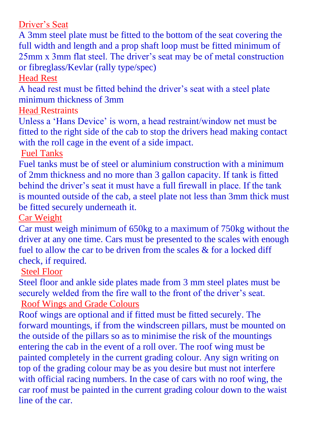Driver's Seat

A 3mm steel plate must be fitted to the bottom of the seat covering the full width and length and a prop shaft loop must be fitted minimum of 25mm x 3mm flat steel. The driver's seat may be of metal construction or fibreglass/Kevlar (rally type/spec)

Head Rest

A head rest must be fitted behind the driver's seat with a steel plate minimum thickness of 3mm

Head Restraints

Unless a 'Hans Device' is worn, a head restraint/window net must be fitted to the right side of the cab to stop the drivers head making contact with the roll cage in the event of a side impact.

Fuel Tanks

Fuel tanks must be of steel or aluminium construction with a minimum of 2mm thickness and no more than 3 gallon capacity. If tank is fitted behind the driver's seat it must have a full firewall in place. If the tank is mounted outside of the cab, a steel plate not less than 3mm thick must be fitted securely underneath it.

Car Weight

Car must weigh minimum of 650kg to a maximum of 750kg without the driver at any one time. Cars must be presented to the scales with enough fuel to allow the car to be driven from the scales & for a locked diff check, if required.

Steel Floor

Steel floor and ankle side plates made from 3 mm steel plates must be securely welded from the fire wall to the front of the driver's seat. Roof Wings and Grade Colours

Roof wings are optional and if fitted must be fitted securely. The forward mountings, if from the windscreen pillars, must be mounted on the outside of the pillars so as to minimise the risk of the mountings entering the cab in the event of a roll over. The roof wing must be painted completely in the current grading colour. Any sign writing on top of the grading colour may be as you desire but must not interfere with official racing numbers. In the case of cars with no roof wing, the car roof must be painted in the current grading colour down to the waist line of the car.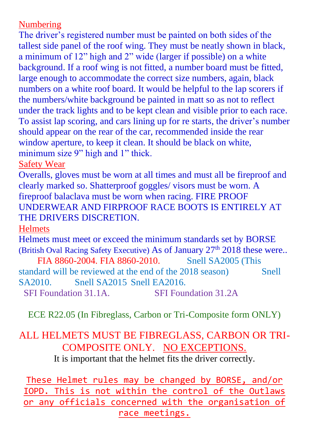#### Numbering

The driver's registered number must be painted on both sides of the tallest side panel of the roof wing. They must be neatly shown in black, a minimum of 12" high and 2" wide (larger if possible) on a white background. If a roof wing is not fitted, a number board must be fitted, large enough to accommodate the correct size numbers, again, black numbers on a white roof board. It would be helpful to the lap scorers if the numbers/white background be painted in matt so as not to reflect under the track lights and to be kept clean and visible prior to each race. To assist lap scoring, and cars lining up for re starts, the driver's number should appear on the rear of the car, recommended inside the rear window aperture, to keep it clean. It should be black on white, minimum size 9" high and 1" thick.

Safety Wear

Overalls, gloves must be worn at all times and must all be fireproof and clearly marked so. Shatterproof goggles/ visors must be worn. A fireproof balaclava must be worn when racing. FIRE PROOF UNDERWEAR AND FIRPROOF RACE BOOTS IS ENTIRELY AT THE DRIVERS DISCRETION.

**Helmets** 

Helmets must meet or exceed the minimum standards set by BORSE (British Oval Racing Safety Executive) As of January  $27<sup>th</sup> 2018$  these were..

FIA 8860-2004. FIA 8860-2010. Snell SA2005 (This standard will be reviewed at the end of the 2018 season) Snell SA2010. Snell SA2015 Snell EA2016.

SFI Foundation 31.1A. SFI Foundation 31.2A

ECE R22.05 (In Fibreglass, Carbon or Tri-Composite form ONLY)

## ALL HELMETS MUST BE FIBREGLASS, CARBON OR TRI-COMPOSITE ONLY. NO EXCEPTIONS.

It is important that the helmet fits the driver correctly.

These Helmet rules may be changed by BORSE, and/or IOPD. This is not within the control of the Outlaws or any officials concerned with the organisation of race meetings.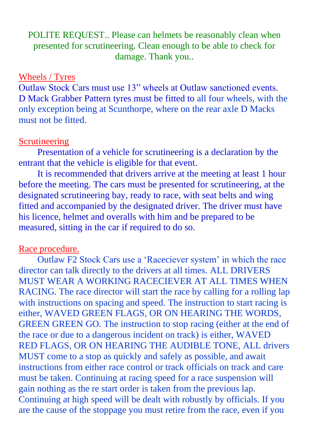POLITE REQUEST.. Please can helmets be reasonably clean when presented for scrutineering. Clean enough to be able to check for damage. Thank you..

#### Wheels / Tyres

Outlaw Stock Cars must use 13" wheels at Outlaw sanctioned events. D Mack Grabber Pattern tyres must be fitted to all four wheels, with the only exception being at Scunthorpe, where on the rear axle D Macks must not be fitted.

#### Scrutineering

Presentation of a vehicle for scrutineering is a declaration by the entrant that the vehicle is eligible for that event.

It is recommended that drivers arrive at the meeting at least 1 hour before the meeting. The cars must be presented for scrutineering, at the designated scrutineering bay, ready to race, with seat belts and wing fitted and accompanied by the designated driver. The driver must have his licence, helmet and overalls with him and be prepared to be measured, sitting in the car if required to do so.

#### Race procedure.

Outlaw F2 Stock Cars use a 'Raceciever system' in which the race director can talk directly to the drivers at all times. ALL DRIVERS MUST WEAR A WORKING RACECIEVER AT ALL TIMES WHEN RACING. The race director will start the race by calling for a rolling lap with instructions on spacing and speed. The instruction to start racing is either, WAVED GREEN FLAGS, OR ON HEARING THE WORDS, GREEN GREEN GO. The instruction to stop racing (either at the end of the race or due to a dangerous incident on track) is either, WAVED RED FLAGS, OR ON HEARING THE AUDIBLE TONE, ALL drivers MUST come to a stop as quickly and safely as possible, and await instructions from either race control or track officials on track and care must be taken. Continuing at racing speed for a race suspension will gain nothing as the re start order is taken from the previous lap. Continuing at high speed will be dealt with robustly by officials. If you are the cause of the stoppage you must retire from the race, even if you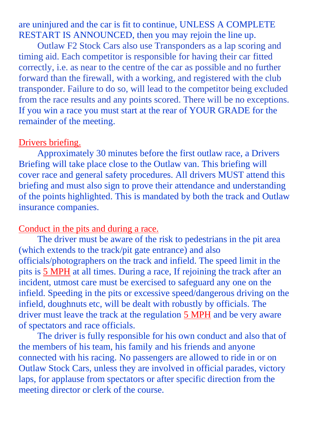are uninjured and the car is fit to continue, UNLESS A COMPLETE RESTART IS ANNOUNCED, then you may rejoin the line up.

Outlaw F2 Stock Cars also use Transponders as a lap scoring and timing aid. Each competitor is responsible for having their car fitted correctly, i.e. as near to the centre of the car as possible and no further forward than the firewall, with a working, and registered with the club transponder. Failure to do so, will lead to the competitor being excluded from the race results and any points scored. There will be no exceptions. If you win a race you must start at the rear of YOUR GRADE for the remainder of the meeting.

#### Drivers briefing.

Approximately 30 minutes before the first outlaw race, a Drivers Briefing will take place close to the Outlaw van. This briefing will cover race and general safety procedures. All drivers MUST attend this briefing and must also sign to prove their attendance and understanding of the points highlighted. This is mandated by both the track and Outlaw insurance companies.

#### Conduct in the pits and during a race.

The driver must be aware of the risk to pedestrians in the pit area (which extends to the track/pit gate entrance) and also officials/photographers on the track and infield. The speed limit in the pits is 5 MPH at all times. During a race, If rejoining the track after an incident, utmost care must be exercised to safeguard any one on the infield. Speeding in the pits or excessive speed/dangerous driving on the infield, doughnuts etc, will be dealt with robustly by officials. The driver must leave the track at the regulation 5 MPH and be very aware of spectators and race officials.

The driver is fully responsible for his own conduct and also that of the members of his team, his family and his friends and anyone connected with his racing. No passengers are allowed to ride in or on Outlaw Stock Cars, unless they are involved in official parades, victory laps, for applause from spectators or after specific direction from the meeting director or clerk of the course.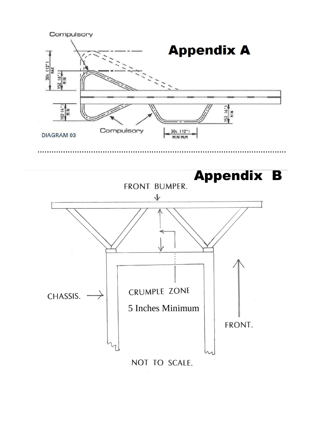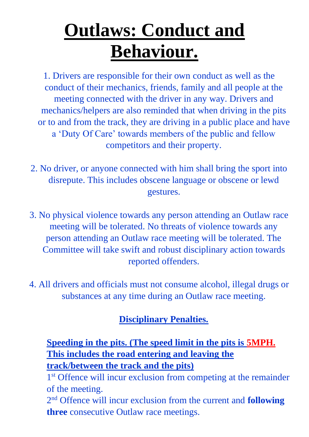# **Outlaws: Conduct and Behaviour.**

1. Drivers are responsible for their own conduct as well as the conduct of their mechanics, friends, family and all people at the meeting connected with the driver in any way. Drivers and mechanics/helpers are also reminded that when driving in the pits or to and from the track, they are driving in a public place and have a 'Duty Of Care' towards members of the public and fellow competitors and their property.

- 2. No driver, or anyone connected with him shall bring the sport into disrepute. This includes obscene language or obscene or lewd gestures.
- 3. No physical violence towards any person attending an Outlaw race meeting will be tolerated. No threats of violence towards any person attending an Outlaw race meeting will be tolerated. The Committee will take swift and robust disciplinary action towards reported offenders.
- 4. All drivers and officials must not consume alcohol, illegal drugs or substances at any time during an Outlaw race meeting.

## **Disciplinary Penalties.**

## **Speeding in the pits. (The speed limit in the pits is 5MPH. This includes the road entering and leaving the track/between the track and the pits)**

1<sup>st</sup> Offence will incur exclusion from competing at the remainder of the meeting.

2 nd Offence will incur exclusion from the current and **following three** consecutive Outlaw race meetings.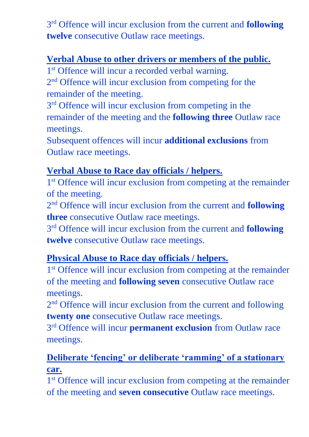3 rd Offence will incur exclusion from the current and **following twelve** consecutive Outlaw race meetings.

## **Verbal Abuse to other drivers or members of the public.**

1<sup>st</sup> Offence will incur a recorded verbal warning.

2<sup>nd</sup> Offence will incur exclusion from competing for the remainder of the meeting.

3<sup>rd</sup> Offence will incur exclusion from competing in the remainder of the meeting and the **following three** Outlaw race meetings.

Subsequent offences will incur **additional exclusions** from Outlaw race meetings.

## **Verbal Abuse to Race day officials / helpers.**

1<sup>st</sup> Offence will incur exclusion from competing at the remainder of the meeting.

2 nd Offence will incur exclusion from the current and **following three** consecutive Outlaw race meetings.

3 rd Offence will incur exclusion from the current and **following twelve** consecutive Outlaw race meetings.

### **Physical Abuse to Race day officials / helpers.**

1<sup>st</sup> Offence will incur exclusion from competing at the remainder of the meeting and **following seven** consecutive Outlaw race meetings.

2<sup>nd</sup> Offence will incur exclusion from the current and following **twenty one** consecutive Outlaw race meetings.

3 rd Offence will incur **permanent exclusion** from Outlaw race meetings.

## **Deliberate 'fencing' or deliberate 'ramming' of a stationary car.**

1<sup>st</sup> Offence will incur exclusion from competing at the remainder of the meeting and **seven consecutive** Outlaw race meetings.